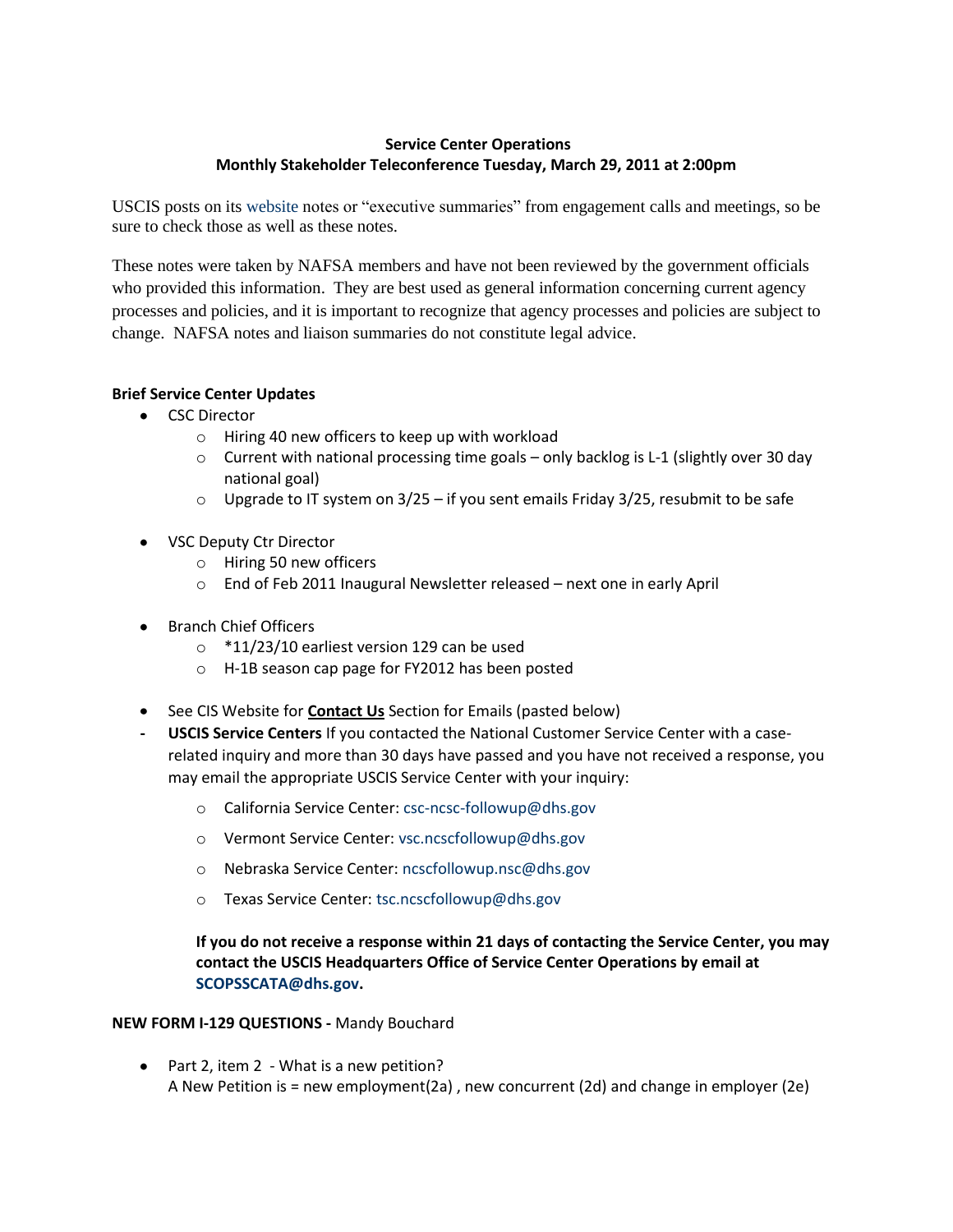# **Service Center Operations Monthly Stakeholder Teleconference Tuesday, March 29, 2011 at 2:00pm**

USCIS posts on its [website](http://www.uscis.gov/portal/site/uscis/menuitem.eb1d4c2a3e5b9ac89243c6a7543f6d1a/?vgnextoid=994f81c52aa38210VgnVCM100000082ca60aRCRD&vgnextchannel=994f81c52aa38210VgnVCM100000082ca60aRCRD) notes or "executive summaries" from engagement calls and meetings, so be sure to check those as well as these notes.

These notes were taken by NAFSA members and have not been reviewed by the government officials who provided this information. They are best used as general information concerning current agency processes and policies, and it is important to recognize that agency processes and policies are subject to change. NAFSA notes and liaison summaries do not constitute legal advice.

## **Brief Service Center Updates**

- CSC Director
	- o Hiring 40 new officers to keep up with workload
	- $\circ$  Current with national processing time goals only backlog is L-1 (slightly over 30 day national goal)
	- $\circ$  Upgrade to IT system on 3/25 if you sent emails Friday 3/25, resubmit to be safe
- VSC Deputy Ctr Director
	- o Hiring 50 new officers
	- o End of Feb 2011 Inaugural Newsletter released next one in early April
- Branch Chief Officers
	- o \*11/23/10 earliest version 129 can be used
	- o H-1B season cap page for FY2012 has been posted
- **See CIS Website for Contact Us Section for Emails (pasted below)**
- **- USCIS Service Centers** If you contacted the National Customer Service Center with a caserelated inquiry and more than 30 days have passed and you have not received a response, you may email the appropriate USCIS Service Center with your inquiry:
	- o California Service Center: [csc-ncsc-followup@dhs.gov](mailto:csc-ncsc-followup@dhs.gov)
	- o Vermont Service Center: [vsc.ncscfollowup@dhs.gov](mailto:vsc.ncscfollowup@dhs.gov)
	- o Nebraska Service Center: [ncscfollowup.nsc@dhs.gov](mailto:ncscfollowup.nsc@dhs.gov)
	- o Texas Service Center: [tsc.ncscfollowup@dhs.gov](mailto:tsc.ncscfollowup@dhs.gov)

**If you do not receive a response within 21 days of contacting the Service Center, you may contact the USCIS Headquarters Office of Service Center Operations by email at [SCOPSSCATA@dhs.gov.](mailto:SCOPSSCATA@dhs.gov)**

## **NEW FORM I-129 QUESTIONS -** Mandy Bouchard

• Part 2, item 2 - What is a new petition? A New Petition is = new employment(2a) , new concurrent (2d) and change in employer (2e)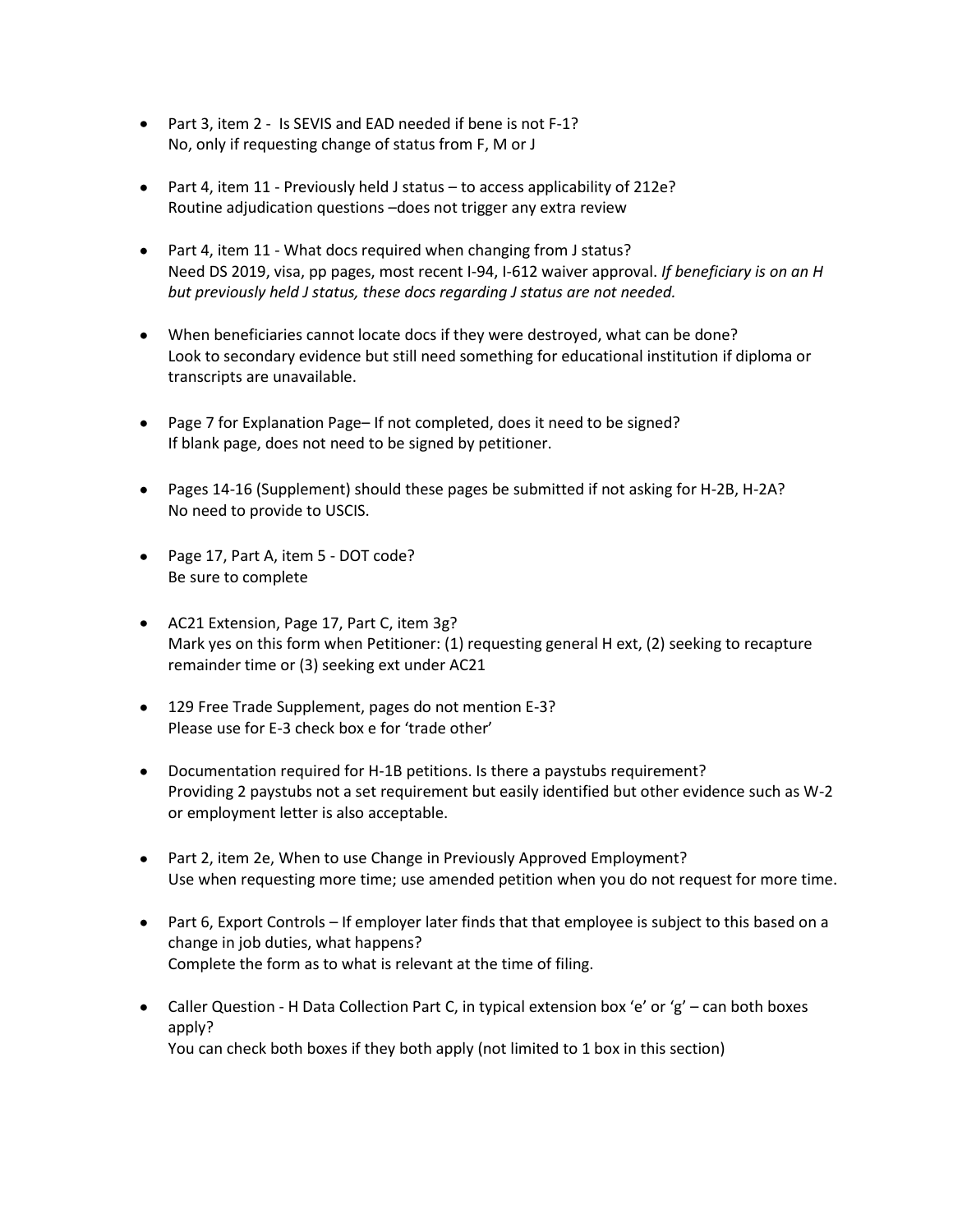- Part 3, item 2 Is SEVIS and EAD needed if bene is not F-1? No, only if requesting change of status from F, M or J
- Part 4, item 11 Previously held J status to access applicability of 212e? Routine adjudication questions –does not trigger any extra review
- Part 4, item 11 What docs required when changing from J status? Need DS 2019, visa, pp pages, most recent I-94, I-612 waiver approval. *If beneficiary is on an H but previously held J status, these docs regarding J status are not needed.*
- When beneficiaries cannot locate docs if they were destroyed, what can be done? Look to secondary evidence but still need something for educational institution if diploma or transcripts are unavailable.
- Page 7 for Explanation Page– If not completed, does it need to be signed? If blank page, does not need to be signed by petitioner.
- Pages 14-16 (Supplement) should these pages be submitted if not asking for H-2B, H-2A? No need to provide to USCIS.
- Page 17, Part A, item 5 DOT code? Be sure to complete
- AC21 Extension, Page 17, Part C, item 3g? Mark yes on this form when Petitioner: (1) requesting general H ext, (2) seeking to recapture remainder time or (3) seeking ext under AC21
- 129 Free Trade Supplement, pages do not mention E-3? Please use for E-3 check box e for 'trade other'
- Documentation required for H-1B petitions. Is there a paystubs requirement? Providing 2 paystubs not a set requirement but easily identified but other evidence such as W-2 or employment letter is also acceptable.
- Part 2, item 2e, When to use Change in Previously Approved Employment? Use when requesting more time; use amended petition when you do not request for more time.
- Part 6, Export Controls If employer later finds that that employee is subject to this based on a change in job duties, what happens? Complete the form as to what is relevant at the time of filing.
- Caller Question H Data Collection Part C, in typical extension box 'e' or 'g' can both boxes apply? You can check both boxes if they both apply (not limited to 1 box in this section)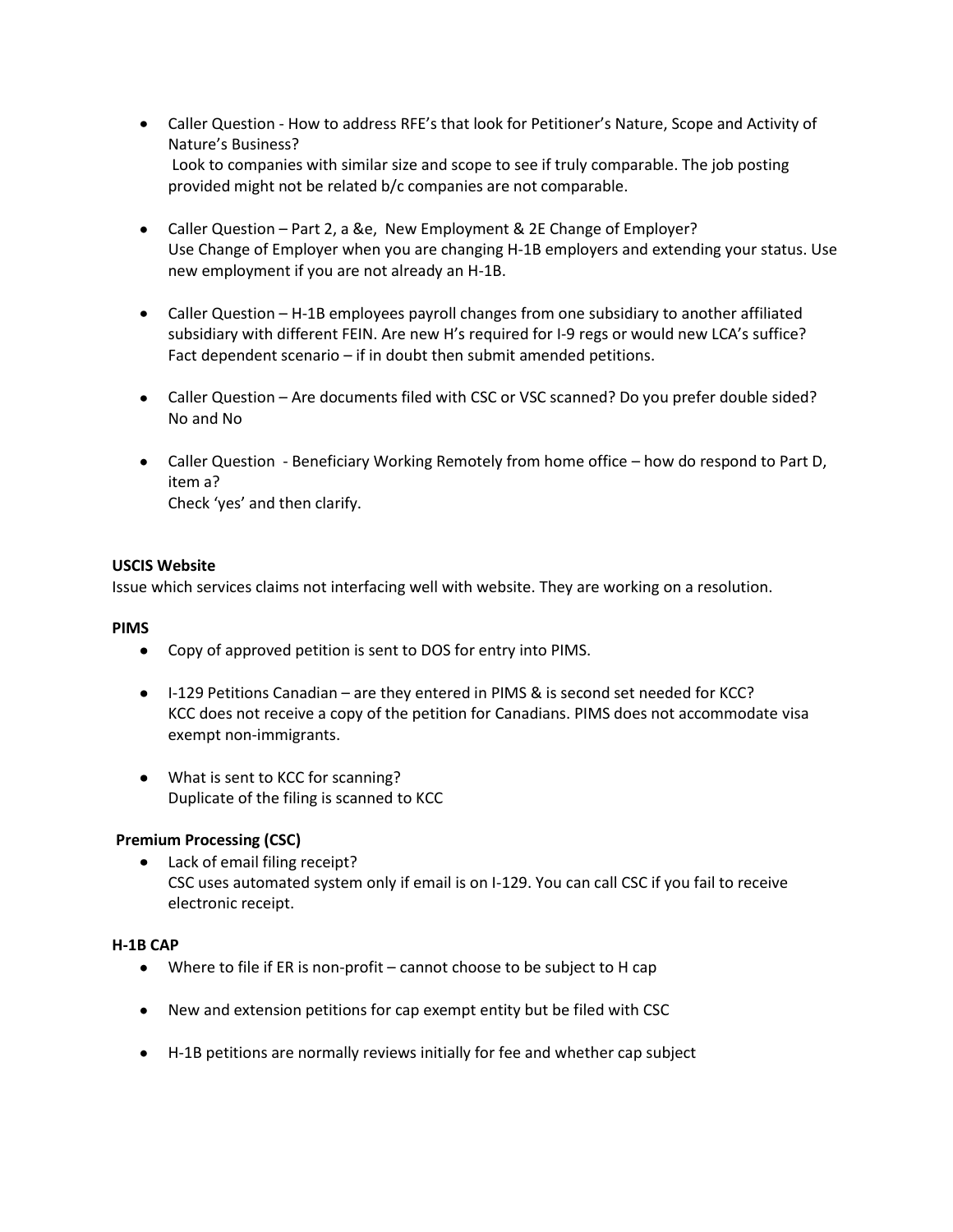- Caller Question How to address RFE's that look for Petitioner's Nature, Scope and Activity of Nature's Business? Look to companies with similar size and scope to see if truly comparable. The job posting provided might not be related b/c companies are not comparable.
- Caller Question Part 2, a &e, New Employment & 2E Change of Employer? Use Change of Employer when you are changing H-1B employers and extending your status. Use new employment if you are not already an H-1B.
- Caller Question H-1B employees payroll changes from one subsidiary to another affiliated subsidiary with different FEIN. Are new H's required for I-9 regs or would new LCA's suffice? Fact dependent scenario – if in doubt then submit amended petitions.
- Caller Question Are documents filed with CSC or VSC scanned? Do you prefer double sided? No and No
- Caller Question Beneficiary Working Remotely from home office how do respond to Part D, item a? Check 'yes' and then clarify.

### **USCIS Website**

Issue which services claims not interfacing well with website. They are working on a resolution.

#### **PIMS**

- Copy of approved petition is sent to DOS for entry into PIMS.
- I-129 Petitions Canadian are they entered in PIMS & is second set needed for KCC? KCC does not receive a copy of the petition for Canadians. PIMS does not accommodate visa exempt non-immigrants.
- What is sent to KCC for scanning? Duplicate of the filing is scanned to KCC

#### **Premium Processing (CSC)**

• Lack of email filing receipt? CSC uses automated system only if email is on I-129. You can call CSC if you fail to receive electronic receipt.

#### **H-1B CAP**

- Where to file if ER is non-profit cannot choose to be subject to H cap
- New and extension petitions for cap exempt entity but be filed with CSC
- H-1B petitions are normally reviews initially for fee and whether cap subject